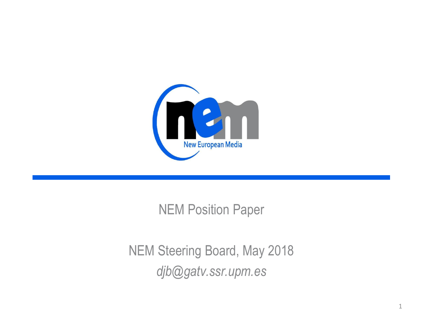

#### NEM Position Paper

#### NEM Steering Board, May 2018 *djb@gatv.ssr.upm.es*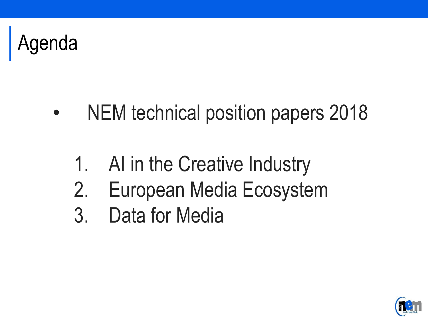

- NEM technical position papers 2018
	- 1. AI in the Creative Industry
	- 2. European Media Ecosystem
	- 3. Data for Media

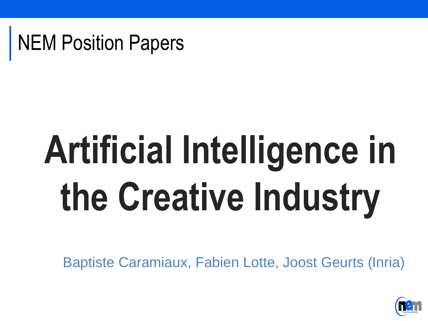

## **Artificial Intelligence in the Creative Industry**

Baptiste Caramiaux, Fabien Lotte, Joost Geurts (Inria)

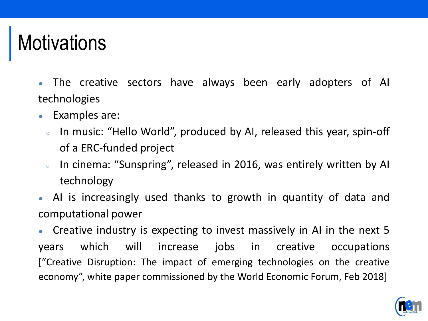#### **Motivations**

- The creative sectors have always been early adopters of AI technologies
- Examples are:
	- In music: "Hello World", produced by AI, released this year, spin-off of a ERC-funded project
	- In cinema: "Sunspring", released in 2016, was entirely written by AI technology
- AI is increasingly used thanks to growth in quantity of data and computational power

Creative industry is expecting to invest massively in AI in the next 5 years which will increase jobs in creative occupations ["Creative Disruption: The impact of emerging technologies on the creative economy", white paper commissioned by the World Economic Forum, Feb 2018]

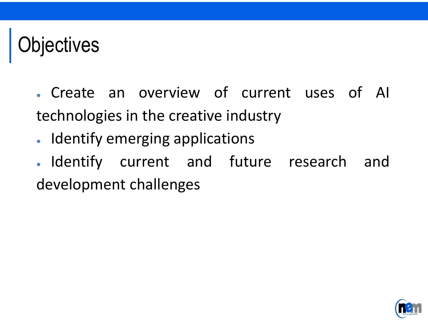#### jectives

. Create an overview of current uses of AI technologies in the creative industry

- Identify emerging applications
- . Identify current and future research and development challenges

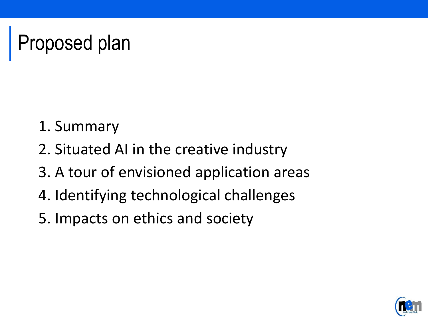### Proposed plan

- 1. Summary
- 2. Situated AI in the creative industry
- 3. A tour of envisioned application areas
- 4. Identifying technological challenges
- 5. Impacts on ethics and society

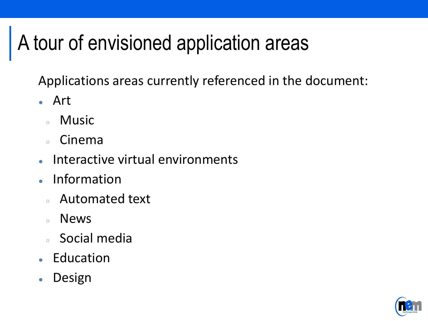#### A tour of envisioned application areas

Applications areas currently referenced in the document:

- Art
	- Music
	- Cinema
- Interactive virtual environments
- **Information** 
	- Automated text
	- News
	- Social media
- Education
- Design

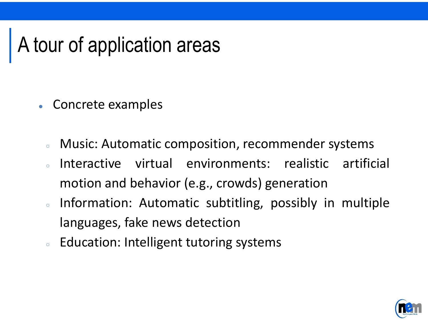#### A tour of application areas

- Concrete examples
	- Music: Automatic composition, recommender systems
	- Interactive virtual environments: realistic artificial motion and behavior (e.g., crowds) generation
	- Information: Automatic subtitling, possibly in multiple languages, fake news detection
	- Education: Intelligent tutoring systems

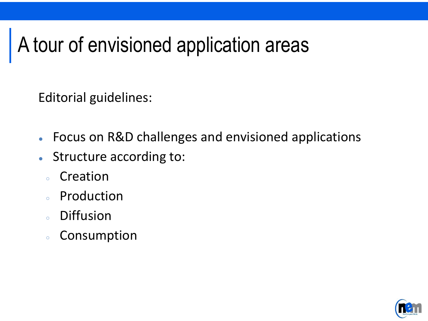#### A tour of envisioned application areas

Editorial guidelines:

- Focus on R&D challenges and envisioned applications
- Structure according to:
	- Creation
	- Production
	- Diffusion
	- Consumption

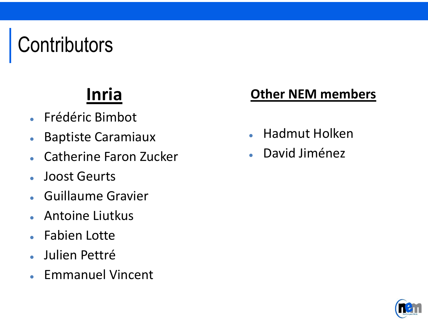## **Contributors**

#### **Inria**

- Frédéric Bimbot
- Baptiste Caramiaux
- Catherine Faron Zucker
- Joost Geurts
- Guillaume Gravier
- Antoine Liutkus
- Fabien Lotte
- Julien Pettré
- Emmanuel Vincent

#### **Other NEM members**

- Hadmut Holken
- David Jiménez

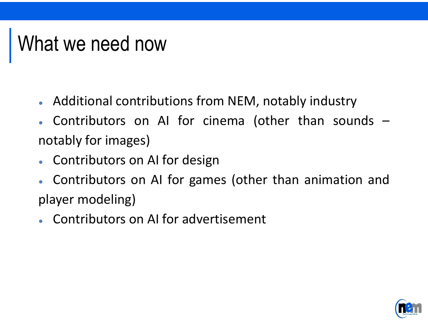#### What we need now

- Additional contributions from NEM, notably industry
- Contributors on AI for cinema (other than sounds  $$ notably for images)
- Contributors on AI for design
- Contributors on AI for games (other than animation and player modeling)
- Contributors on AI for advertisement

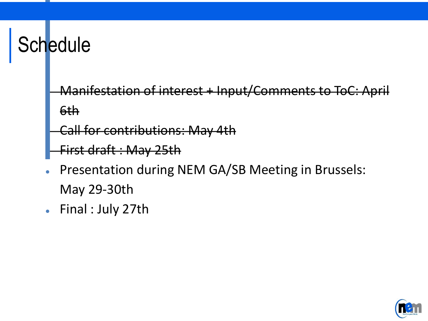#### **Schedule**

- Manifestation of interest + Input/Comments to ToC: April 6th
- **Call for contributions: May 4th**
- First draft : May 25th
- Presentation during NEM GA/SB Meeting in Brussels: May 29-30th
- Final : July 27th

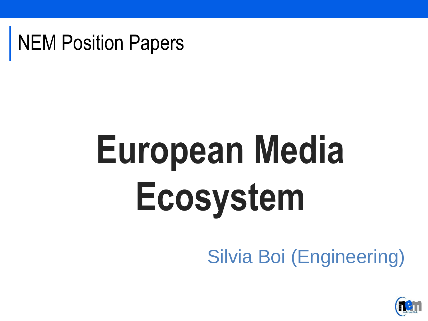NEM Position Papers

# **European Media Ecosystem**

#### Silvia Boi (Engineering)

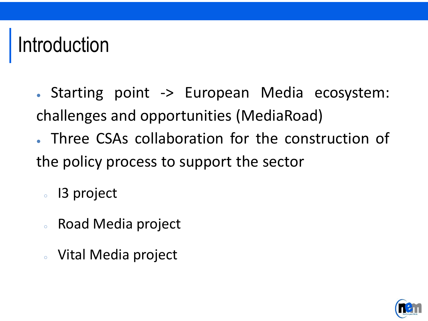#### Introduction

- Starting point -> European Media ecosystem: challenges and opportunities (MediaRoad)
- Three CSAs collaboration for the construction of the policy process to support the sector
	- I3 project
	- Road Media project
	- Vital Media project

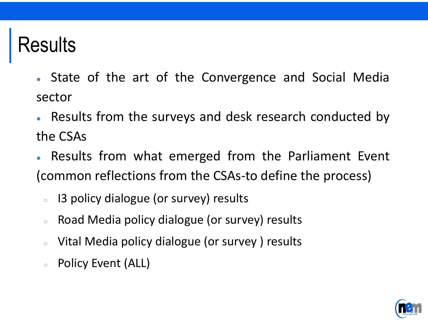#### Results

- State of the art of the Convergence and Social Media sector
- Results from the surveys and desk research conducted by the CSAs
- Results from what emerged from the Parliament Event (common reflections from the CSAs-to define the process)
	- 13 policy dialogue (or survey) results
	- Road Media policy dialogue (or survey) results
	- Vital Media policy dialogue (or survey) results
	- Policy Event (ALL)

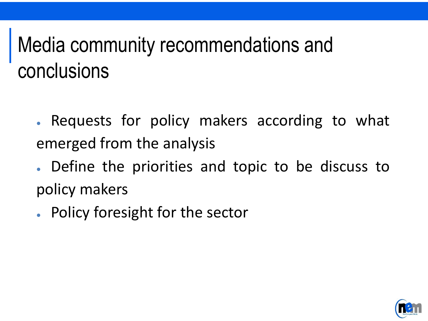#### Media community recommendations and conclusions

- Requests for policy makers according to what emerged from the analysis
- Define the priorities and topic to be discuss to policy makers
- Policy foresight for the sector

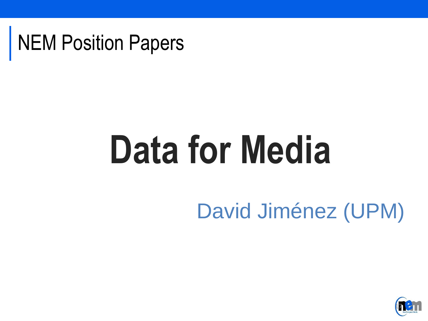

## **Data for Media**

#### David Jiménez (UPM)

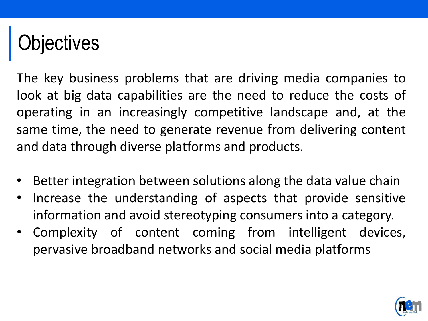## jectives

The key business problems that are driving media companies to look at big data capabilities are the need to reduce the costs of operating in an increasingly competitive landscape and, at the same time, the need to generate revenue from delivering content and data through diverse platforms and products.

- Better integration between solutions along the data value chain
- Increase the understanding of aspects that provide sensitive information and avoid stereotyping consumers into a category.
- Complexity of content coming from intelligent devices, pervasive broadband networks and social media platforms

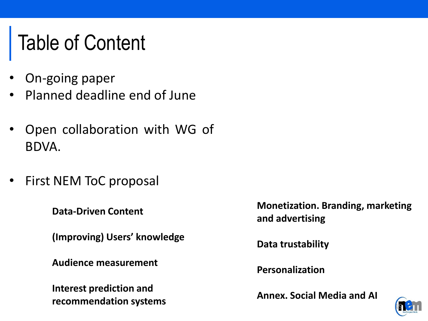#### Table of Content

- On-going paper
- Planned deadline end of June
- Open collaboration with WG of BDVA.
- First NEM ToC proposal

**Data-Driven Content**

**(Improving) Users' knowledge**

**Audience measurement**

**Interest prediction and recommendation systems** **Monetization. Branding, marketing and advertising**

**Data trustability**

**Personalization**

**Annex. Social Media and AI**

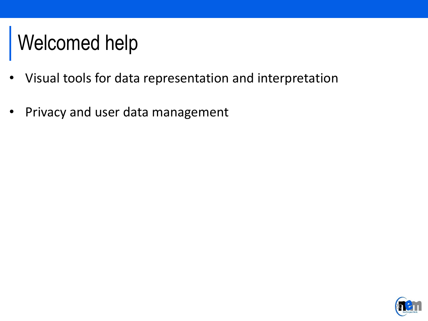#### Welcomed help

- Visual tools for data representation and interpretation
- Privacy and user data management